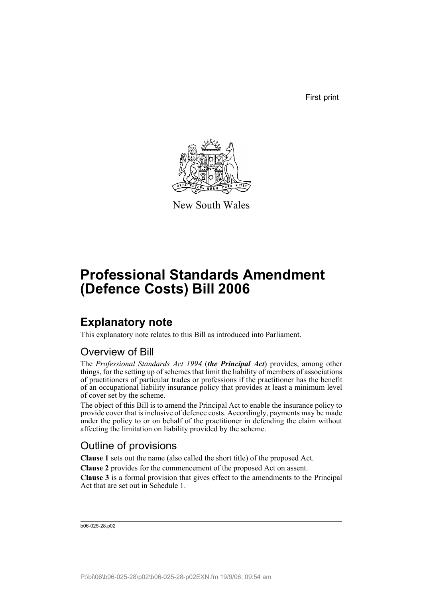First print



New South Wales

# **Professional Standards Amendment (Defence Costs) Bill 2006**

## **Explanatory note**

This explanatory note relates to this Bill as introduced into Parliament.

### Overview of Bill

The *Professional Standards Act 1994* (*the Principal Act*) provides, among other things, for the setting up of schemes that limit the liability of members of associations of practitioners of particular trades or professions if the practitioner has the benefit of an occupational liability insurance policy that provides at least a minimum level of cover set by the scheme.

The object of this Bill is to amend the Principal Act to enable the insurance policy to provide cover that is inclusive of defence costs. Accordingly, payments may be made under the policy to or on behalf of the practitioner in defending the claim without affecting the limitation on liability provided by the scheme.

### Outline of provisions

**Clause 1** sets out the name (also called the short title) of the proposed Act.

**Clause 2** provides for the commencement of the proposed Act on assent.

**Clause 3** is a formal provision that gives effect to the amendments to the Principal Act that are set out in Schedule 1.

b06-025-28.p02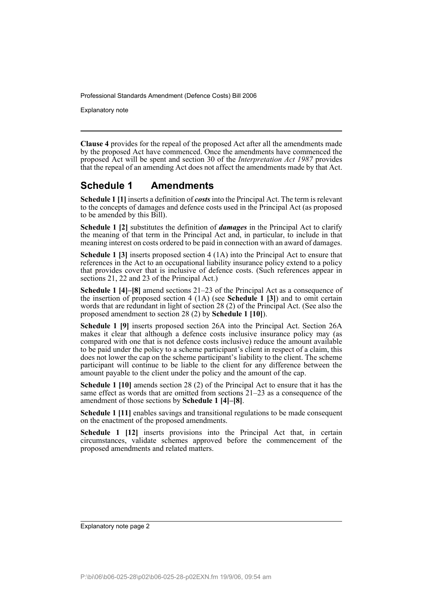Explanatory note

**Clause 4** provides for the repeal of the proposed Act after all the amendments made by the proposed Act have commenced. Once the amendments have commenced the proposed Act will be spent and section 30 of the *Interpretation Act 1987* provides that the repeal of an amending Act does not affect the amendments made by that Act.

#### **Schedule 1 Amendments**

**Schedule 1 [1]** inserts a definition of *costs* into the Principal Act. The term is relevant to the concepts of damages and defence costs used in the Principal Act (as proposed to be amended by this Bill).

**Schedule 1 [2]** substitutes the definition of *damages* in the Principal Act to clarify the meaning of that term in the Principal Act and, in particular, to include in that meaning interest on costs ordered to be paid in connection with an award of damages.

**Schedule 1 [3]** inserts proposed section 4 (1A) into the Principal Act to ensure that references in the Act to an occupational liability insurance policy extend to a policy that provides cover that is inclusive of defence costs. (Such references appear in sections 21, 22 and 23 of the Principal Act.)

**Schedule 1 [4]–[8]** amend sections 21–23 of the Principal Act as a consequence of the insertion of proposed section 4 (1A) (see **Schedule 1 [3]**) and to omit certain words that are redundant in light of section 28 (2) of the Principal Act. (See also the proposed amendment to section 28 (2) by **Schedule 1 [10]**).

**Schedule 1 [9]** inserts proposed section 26A into the Principal Act. Section 26A makes it clear that although a defence costs inclusive insurance policy may (as compared with one that is not defence costs inclusive) reduce the amount available to be paid under the policy to a scheme participant's client in respect of a claim, this does not lower the cap on the scheme participant's liability to the client. The scheme participant will continue to be liable to the client for any difference between the amount payable to the client under the policy and the amount of the cap.

**Schedule 1 [10]** amends section 28 (2) of the Principal Act to ensure that it has the same effect as words that are omitted from sections 21–23 as a consequence of the amendment of those sections by **Schedule 1 [4]–[8]**.

**Schedule 1 [11]** enables savings and transitional regulations to be made consequent on the enactment of the proposed amendments.

**Schedule 1 [12]** inserts provisions into the Principal Act that, in certain circumstances, validate schemes approved before the commencement of the proposed amendments and related matters.

Explanatory note page 2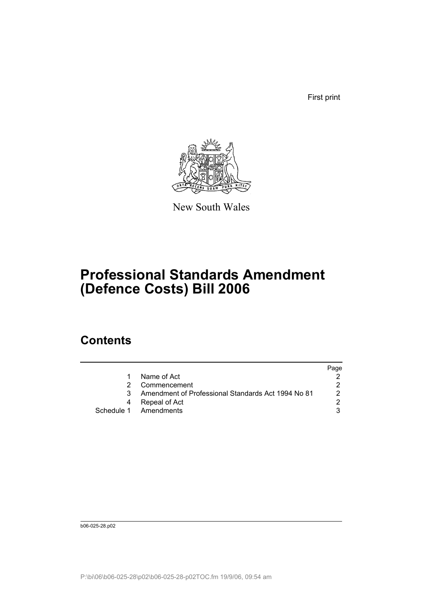First print



New South Wales

# **Professional Standards Amendment (Defence Costs) Bill 2006**

## **Contents**

|                                                    | Page          |
|----------------------------------------------------|---------------|
| Name of Act                                        |               |
| Commencement                                       |               |
| Amendment of Professional Standards Act 1994 No 81 | 2             |
| Repeal of Act                                      | $\mathcal{P}$ |
| Schedule 1 Amendments                              |               |
|                                                    |               |

b06-025-28.p02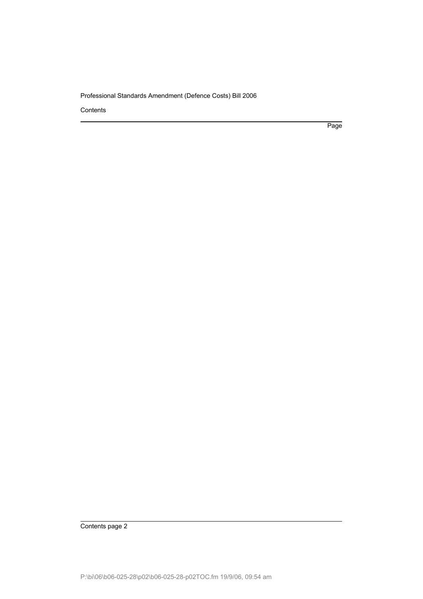Contents

Page

Contents page 2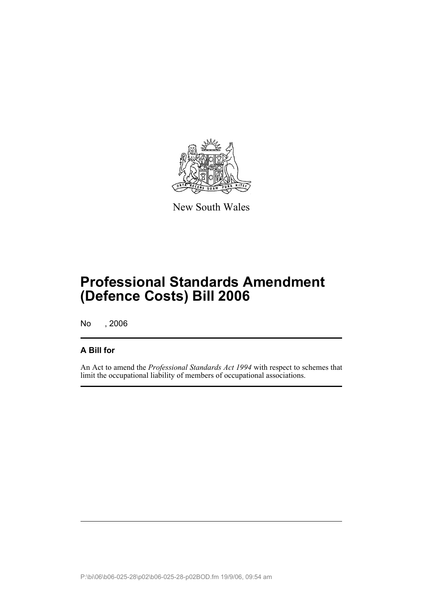

New South Wales

## **Professional Standards Amendment (Defence Costs) Bill 2006**

No , 2006

#### **A Bill for**

An Act to amend the *Professional Standards Act 1994* with respect to schemes that limit the occupational liability of members of occupational associations.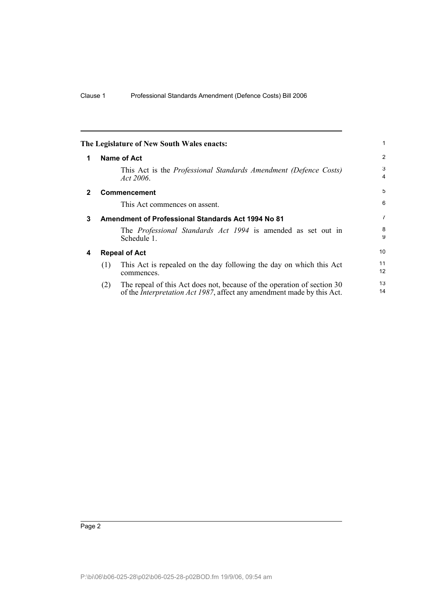| The Legislature of New South Wales enacts: |  | $\mathbf{1}$                                                                                                                                                                                                                                                                                                                                                                                                                             |
|--------------------------------------------|--|------------------------------------------------------------------------------------------------------------------------------------------------------------------------------------------------------------------------------------------------------------------------------------------------------------------------------------------------------------------------------------------------------------------------------------------|
| <b>Name of Act</b><br>1                    |  | $\overline{2}$                                                                                                                                                                                                                                                                                                                                                                                                                           |
| Act 2006.                                  |  | 3<br>4                                                                                                                                                                                                                                                                                                                                                                                                                                   |
| <b>Commencement</b><br>$\mathbf{2}$        |  | 5                                                                                                                                                                                                                                                                                                                                                                                                                                        |
| This Act commences on assent.              |  | 6                                                                                                                                                                                                                                                                                                                                                                                                                                        |
| 3                                          |  | $\overline{7}$                                                                                                                                                                                                                                                                                                                                                                                                                           |
| Schedule 1.                                |  | 8<br>9                                                                                                                                                                                                                                                                                                                                                                                                                                   |
| <b>Repeal of Act</b>                       |  | 10                                                                                                                                                                                                                                                                                                                                                                                                                                       |
| (1)<br>commences.                          |  | 11<br>12                                                                                                                                                                                                                                                                                                                                                                                                                                 |
| (2)                                        |  | 13<br>14                                                                                                                                                                                                                                                                                                                                                                                                                                 |
| 4                                          |  | This Act is the <i>Professional Standards Amendment (Defence Costs)</i><br>Amendment of Professional Standards Act 1994 No 81<br>The <i>Professional Standards Act 1994</i> is amended as set out in<br>This Act is repealed on the day following the day on which this Act<br>The repeal of this Act does not, because of the operation of section 30<br>of the <i>Interpretation Act 1987</i> , affect any amendment made by this Act. |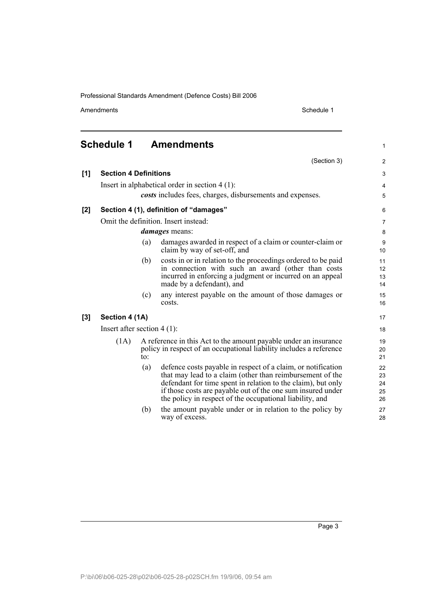Amendments Schedule 1

(Section 3)

1

2

**Schedule 1 Amendments**

| [1] | <b>Section 4 Definitions</b>  |     |                                                                                                                                                                                                                                                                                                                      | 3                          |
|-----|-------------------------------|-----|----------------------------------------------------------------------------------------------------------------------------------------------------------------------------------------------------------------------------------------------------------------------------------------------------------------------|----------------------------|
|     |                               |     | Insert in alphabetical order in section $4(1)$ :                                                                                                                                                                                                                                                                     | 4                          |
|     |                               |     | costs includes fees, charges, disbursements and expenses.                                                                                                                                                                                                                                                            | 5                          |
| [2] |                               |     | Section 4 (1), definition of "damages"                                                                                                                                                                                                                                                                               | 6                          |
|     |                               |     | Omit the definition. Insert instead:                                                                                                                                                                                                                                                                                 | $\overline{7}$             |
|     | <i>damages</i> means:         |     |                                                                                                                                                                                                                                                                                                                      | 8                          |
|     |                               | (a) | damages awarded in respect of a claim or counter-claim or<br>claim by way of set-off, and                                                                                                                                                                                                                            | 9<br>10                    |
|     |                               | (b) | costs in or in relation to the proceedings ordered to be paid<br>in connection with such an award (other than costs<br>incurred in enforcing a judgment or incurred on an appeal<br>made by a defendant), and                                                                                                        | 11<br>12<br>13<br>14       |
|     |                               | (c) | any interest payable on the amount of those damages or<br>costs.                                                                                                                                                                                                                                                     | 15<br>16                   |
| [3] | Section 4 (1A)                |     |                                                                                                                                                                                                                                                                                                                      | 17                         |
|     | Insert after section $4(1)$ : |     |                                                                                                                                                                                                                                                                                                                      | 18                         |
|     | (1A)                          | to: | A reference in this Act to the amount payable under an insurance<br>policy in respect of an occupational liability includes a reference                                                                                                                                                                              | 19<br>20<br>21             |
|     |                               | (a) | defence costs payable in respect of a claim, or notification<br>that may lead to a claim (other than reimbursement of the<br>defendant for time spent in relation to the claim), but only<br>if those costs are payable out of the one sum insured under<br>the policy in respect of the occupational liability, and | 22<br>23<br>24<br>25<br>26 |
|     |                               | (b) | the amount payable under or in relation to the policy by<br>way of excess.                                                                                                                                                                                                                                           | 27<br>28                   |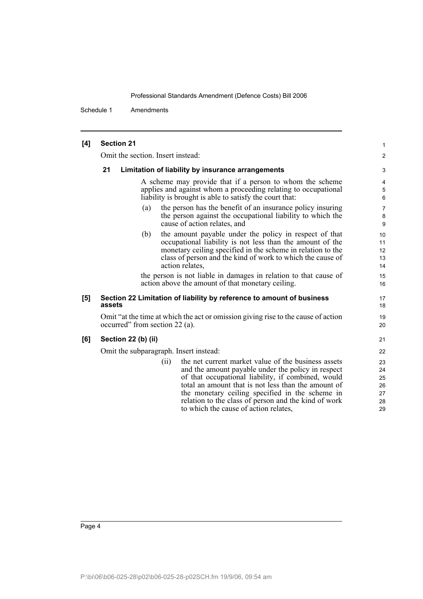Schedule 1 Amendments

| [4] | <b>Section 21</b>                      |                                                                                                                                                                                                                                                                                                                                                                            | 1                                      |  |
|-----|----------------------------------------|----------------------------------------------------------------------------------------------------------------------------------------------------------------------------------------------------------------------------------------------------------------------------------------------------------------------------------------------------------------------------|----------------------------------------|--|
|     | Omit the section. Insert instead:      |                                                                                                                                                                                                                                                                                                                                                                            | $\overline{\mathbf{c}}$                |  |
|     | 21                                     | Limitation of liability by insurance arrangements                                                                                                                                                                                                                                                                                                                          | 3                                      |  |
|     |                                        | A scheme may provide that if a person to whom the scheme<br>applies and against whom a proceeding relating to occupational<br>liability is brought is able to satisfy the court that:                                                                                                                                                                                      | 4<br>5<br>6                            |  |
|     | (a)                                    | the person has the benefit of an insurance policy insuring<br>the person against the occupational liability to which the<br>cause of action relates, and                                                                                                                                                                                                                   | $\overline{7}$<br>8<br>9               |  |
|     | (b)                                    | the amount payable under the policy in respect of that<br>occupational liability is not less than the amount of the<br>monetary ceiling specified in the scheme in relation to the<br>class of person and the kind of work to which the cause of<br>action relates,                                                                                                        | 10<br>11<br>12<br>13<br>14             |  |
|     |                                        | the person is not liable in damages in relation to that cause of<br>action above the amount of that monetary ceiling.                                                                                                                                                                                                                                                      | 15<br>16                               |  |
| [5] | assets                                 | Section 22 Limitation of liability by reference to amount of business                                                                                                                                                                                                                                                                                                      | 17<br>18                               |  |
|     | occurred" from section 22 (a).         | Omit "at the time at which the act or omission giving rise to the cause of action                                                                                                                                                                                                                                                                                          | 19<br>20                               |  |
| [6] | Section 22 (b) (ii)                    |                                                                                                                                                                                                                                                                                                                                                                            | 21                                     |  |
|     | Omit the subparagraph. Insert instead: |                                                                                                                                                                                                                                                                                                                                                                            |                                        |  |
|     | (i)                                    | the net current market value of the business assets<br>and the amount payable under the policy in respect<br>of that occupational liability, if combined, would<br>total an amount that is not less than the amount of<br>the monetary ceiling specified in the scheme in<br>relation to the class of person and the kind of work<br>to which the cause of action relates, | 23<br>24<br>25<br>26<br>27<br>28<br>29 |  |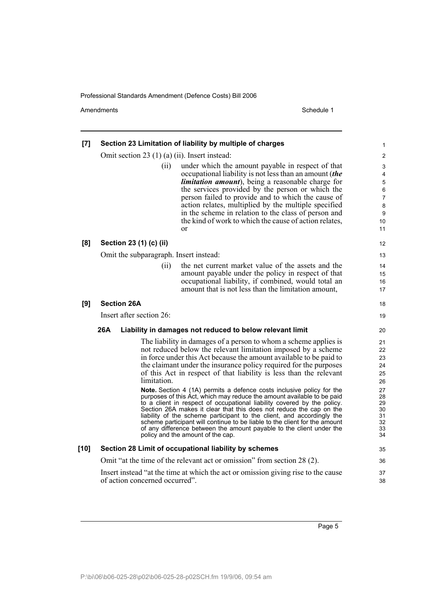Amendments Schedule 1

| [7]    | Section 23 Limitation of liability by multiple of charges                                                                                                                                                                                                                                                                                                                                                                                                                                                                                                                                                                                                                                                                                                                                                                                                                                              | 1                                                                          |  |
|--------|--------------------------------------------------------------------------------------------------------------------------------------------------------------------------------------------------------------------------------------------------------------------------------------------------------------------------------------------------------------------------------------------------------------------------------------------------------------------------------------------------------------------------------------------------------------------------------------------------------------------------------------------------------------------------------------------------------------------------------------------------------------------------------------------------------------------------------------------------------------------------------------------------------|----------------------------------------------------------------------------|--|
|        | Omit section 23 $(1)$ (a) $(ii)$ . Insert instead:                                                                                                                                                                                                                                                                                                                                                                                                                                                                                                                                                                                                                                                                                                                                                                                                                                                     | $\overline{\mathbf{c}}$                                                    |  |
|        | under which the amount payable in respect of that<br>(ii)<br>occupational liability is not less than an amount (the<br>limitation amount), being a reasonable charge for<br>the services provided by the person or which the<br>person failed to provide and to which the cause of<br>action relates, multiplied by the multiple specified<br>in the scheme in relation to the class of person and<br>the kind of work to which the cause of action relates,<br>or                                                                                                                                                                                                                                                                                                                                                                                                                                     | 3<br>4<br>5<br>6<br>7<br>8<br>9<br>10<br>11                                |  |
| [8]    | Section 23 (1) (c) (ii)                                                                                                                                                                                                                                                                                                                                                                                                                                                                                                                                                                                                                                                                                                                                                                                                                                                                                | 12                                                                         |  |
|        | Omit the subparagraph. Insert instead:                                                                                                                                                                                                                                                                                                                                                                                                                                                                                                                                                                                                                                                                                                                                                                                                                                                                 |                                                                            |  |
|        | the net current market value of the assets and the<br>(ii)<br>amount payable under the policy in respect of that<br>occupational liability, if combined, would total an<br>amount that is not less than the limitation amount,                                                                                                                                                                                                                                                                                                                                                                                                                                                                                                                                                                                                                                                                         | 14<br>15<br>16<br>17                                                       |  |
| [9]    | <b>Section 26A</b>                                                                                                                                                                                                                                                                                                                                                                                                                                                                                                                                                                                                                                                                                                                                                                                                                                                                                     | 18                                                                         |  |
|        | Insert after section 26:                                                                                                                                                                                                                                                                                                                                                                                                                                                                                                                                                                                                                                                                                                                                                                                                                                                                               | 19                                                                         |  |
|        | 26A<br>Liability in damages not reduced to below relevant limit                                                                                                                                                                                                                                                                                                                                                                                                                                                                                                                                                                                                                                                                                                                                                                                                                                        | 20                                                                         |  |
|        | The liability in damages of a person to whom a scheme applies is<br>not reduced below the relevant limitation imposed by a scheme<br>in force under this Act because the amount available to be paid to<br>the claimant under the insurance policy required for the purposes<br>of this Act in respect of that liability is less than the relevant<br>limitation.<br>Note. Section 4 (1A) permits a defence costs inclusive policy for the<br>purposes of this Act, which may reduce the amount available to be paid<br>to a client in respect of occupational liability covered by the policy.<br>Section 26A makes it clear that this does not reduce the cap on the<br>liability of the scheme participant to the client, and accordingly the<br>scheme participant will continue to be liable to the client for the amount<br>of any difference between the amount payable to the client under the | 21<br>22<br>23<br>24<br>25<br>26<br>27<br>28<br>29<br>30<br>31<br>32<br>33 |  |
|        | policy and the amount of the cap.                                                                                                                                                                                                                                                                                                                                                                                                                                                                                                                                                                                                                                                                                                                                                                                                                                                                      | 34                                                                         |  |
| $[10]$ | Section 28 Limit of occupational liability by schemes                                                                                                                                                                                                                                                                                                                                                                                                                                                                                                                                                                                                                                                                                                                                                                                                                                                  | 35                                                                         |  |
|        | Omit "at the time of the relevant act or omission" from section 28 (2).                                                                                                                                                                                                                                                                                                                                                                                                                                                                                                                                                                                                                                                                                                                                                                                                                                | 36                                                                         |  |
|        | Insert instead "at the time at which the act or omission giving rise to the cause<br>of action concerned occurred".                                                                                                                                                                                                                                                                                                                                                                                                                                                                                                                                                                                                                                                                                                                                                                                    | 37<br>38                                                                   |  |
|        |                                                                                                                                                                                                                                                                                                                                                                                                                                                                                                                                                                                                                                                                                                                                                                                                                                                                                                        |                                                                            |  |

Page 5